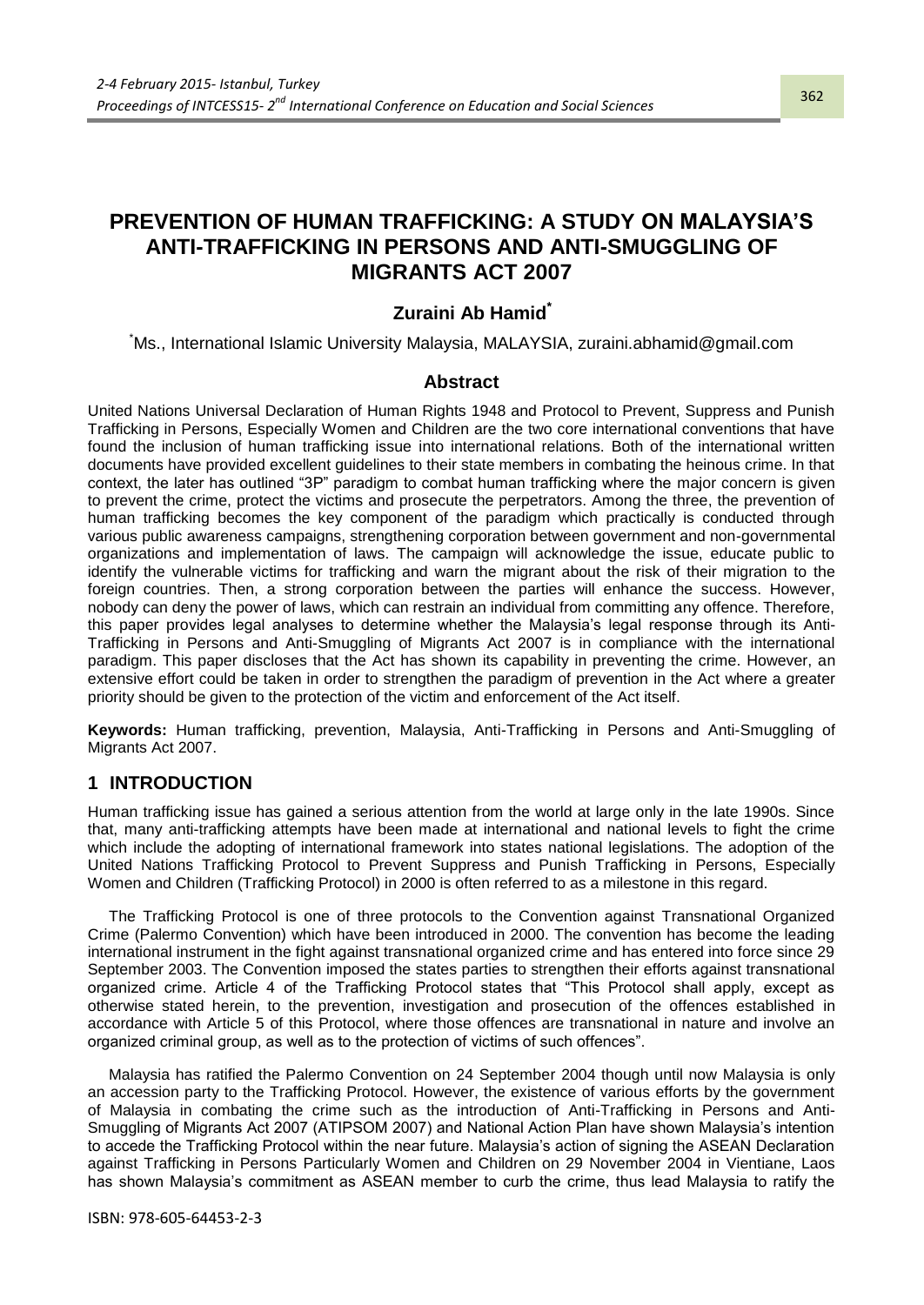# **PREVENTION OF HUMAN TRAFFICKING: A STUDY ON MALAYSIA'S ANTI-TRAFFICKING IN PERSONS AND ANTI-SMUGGLING OF MIGRANTS ACT 2007**

## **Zuraini Ab Hamid\***

\*Ms., International Islamic University Malaysia, MALAYSIA, zuraini.abhamid@gmail.com

#### **Abstract**

United Nations Universal Declaration of Human Rights 1948 and Protocol to Prevent, Suppress and Punish Trafficking in Persons, Especially Women and Children are the two core international conventions that have found the inclusion of human trafficking issue into international relations. Both of the international written documents have provided excellent guidelines to their state members in combating the heinous crime. In that context, the later has outlined "3P" paradigm to combat human trafficking where the major concern is given to prevent the crime, protect the victims and prosecute the perpetrators. Among the three, the prevention of human trafficking becomes the key component of the paradigm which practically is conducted through various public awareness campaigns, strengthening corporation between government and non-governmental organizations and implementation of laws. The campaign will acknowledge the issue, educate public to identify the vulnerable victims for trafficking and warn the migrant about the risk of their migration to the foreign countries. Then, a strong corporation between the parties will enhance the success. However, nobody can deny the power of laws, which can restrain an individual from committing any offence. Therefore, this paper provides legal analyses to determine whether the Malaysia"s legal response through its Anti-Trafficking in Persons and Anti-Smuggling of Migrants Act 2007 is in compliance with the international paradigm. This paper discloses that the Act has shown its capability in preventing the crime. However, an extensive effort could be taken in order to strengthen the paradigm of prevention in the Act where a greater priority should be given to the protection of the victim and enforcement of the Act itself.

**Keywords:** Human trafficking, prevention, Malaysia, Anti-Trafficking in Persons and Anti-Smuggling of Migrants Act 2007.

#### **1 INTRODUCTION**

Human trafficking issue has gained a serious attention from the world at large only in the late 1990s. Since that, many anti-trafficking attempts have been made at international and national levels to fight the crime which include the adopting of international framework into states national legislations. The adoption of the United Nations Trafficking Protocol to Prevent Suppress and Punish Trafficking in Persons, Especially Women and Children (Trafficking Protocol) in 2000 is often referred to as a milestone in this regard.

The Trafficking Protocol is one of three protocols to the Convention against Transnational Organized Crime (Palermo Convention) which have been introduced in 2000. The convention has become the leading international instrument in the fight against transnational organized crime and has entered into force since 29 September 2003. The Convention imposed the states parties to strengthen their efforts against transnational organized crime. Article 4 of the Trafficking Protocol states that "This Protocol shall apply, except as otherwise stated herein, to the prevention, investigation and prosecution of the offences established in accordance with Article 5 of this Protocol, where those offences are transnational in nature and involve an organized criminal group, as well as to the protection of victims of such offences".

Malaysia has ratified the Palermo Convention on 24 September 2004 though until now Malaysia is only an accession party to the Trafficking Protocol. However, the existence of various efforts by the government of Malaysia in combating the crime such as the introduction of Anti-Trafficking in Persons and Anti-Smuggling of Migrants Act 2007 (ATIPSOM 2007) and National Action Plan have shown Malaysia"s intention to accede the Trafficking Protocol within the near future. Malaysia"s action of signing the ASEAN Declaration against Trafficking in Persons Particularly Women and Children on 29 November 2004 in Vientiane, Laos has shown Malaysia's commitment as ASEAN member to curb the crime, thus lead Malaysia to ratify the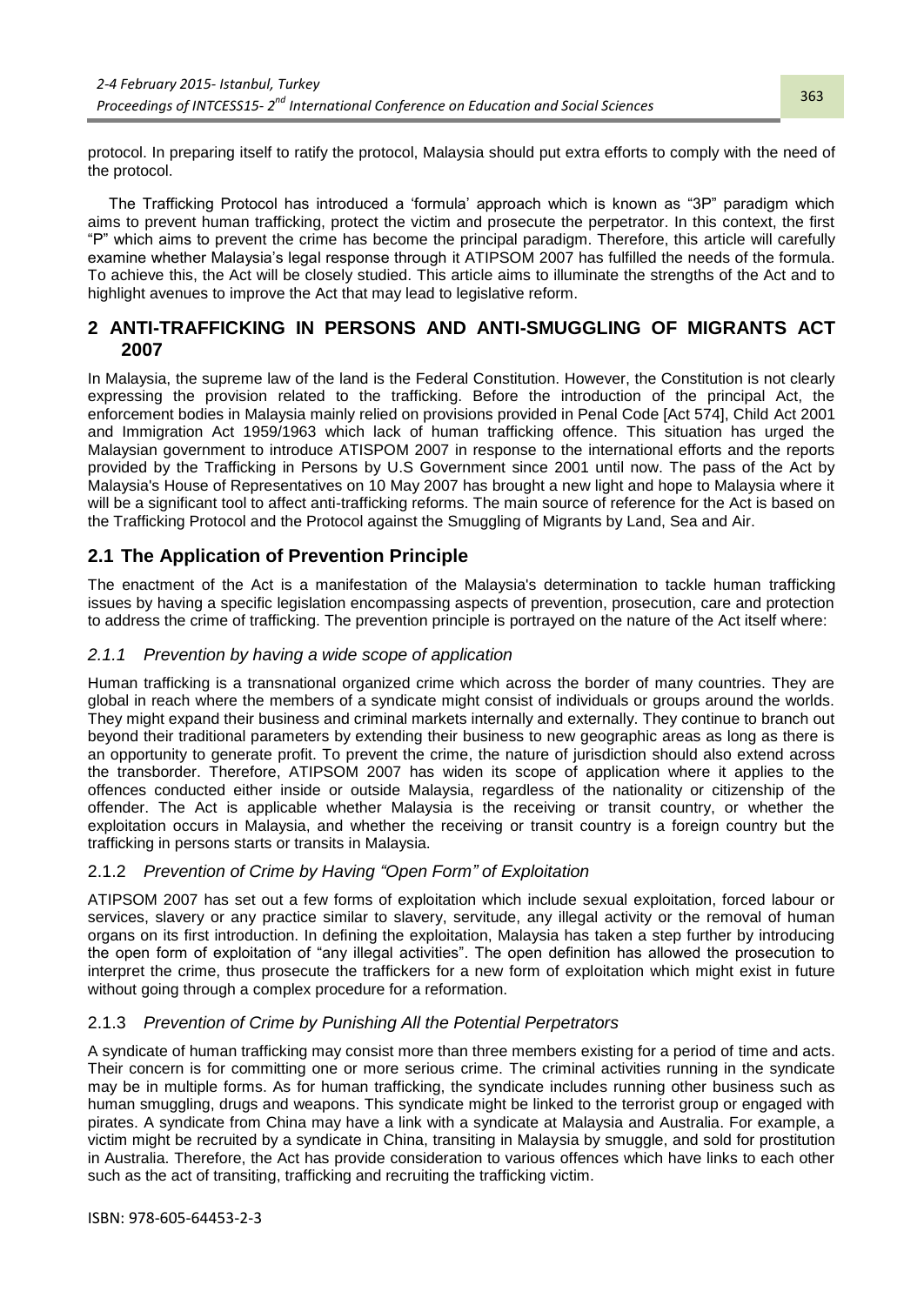protocol. In preparing itself to ratify the protocol, Malaysia should put extra efforts to comply with the need of the protocol.

The Trafficking Protocol has introduced a "formula" approach which is known as "3P" paradigm which aims to prevent human trafficking, protect the victim and prosecute the perpetrator. In this context, the first "P" which aims to prevent the crime has become the principal paradigm. Therefore, this article will carefully examine whether Malaysia"s legal response through it ATIPSOM 2007 has fulfilled the needs of the formula. To achieve this, the Act will be closely studied. This article aims to illuminate the strengths of the Act and to highlight avenues to improve the Act that may lead to legislative reform.

## **2 ANTI-TRAFFICKING IN PERSONS AND ANTI-SMUGGLING OF MIGRANTS ACT 2007**

In Malaysia, the supreme law of the land is the Federal Constitution. However, the Constitution is not clearly expressing the provision related to the trafficking. Before the introduction of the principal Act, the enforcement bodies in Malaysia mainly relied on provisions provided in Penal Code [Act 574], Child Act 2001 and Immigration Act 1959/1963 which lack of human trafficking offence. This situation has urged the Malaysian government to introduce ATISPOM 2007 in response to the international efforts and the reports provided by the Trafficking in Persons by U.S Government since 2001 until now. The pass of the Act by Malaysia's House of Representatives on 10 May 2007 has brought a new light and hope to Malaysia where it will be a significant tool to affect anti-trafficking reforms. The main source of reference for the Act is based on the Trafficking Protocol and the Protocol against the Smuggling of Migrants by Land, Sea and Air.

## **2.1 The Application of Prevention Principle**

The enactment of the Act is a manifestation of the Malaysia's determination to tackle human trafficking issues by having a specific legislation encompassing aspects of prevention, prosecution, care and protection to address the crime of trafficking. The prevention principle is portrayed on the nature of the Act itself where:

#### *2.1.1 Prevention by having a wide scope of application*

Human trafficking is a transnational organized crime which across the border of many countries. They are global in reach where the members of a syndicate might consist of individuals or groups around the worlds. They might expand their business and criminal markets internally and externally. They continue to branch out beyond their traditional parameters by extending their business to new geographic areas as long as there is an opportunity to generate profit. To prevent the crime, the nature of jurisdiction should also extend across the transborder. Therefore, ATIPSOM 2007 has widen its scope of application where it applies to the offences conducted either inside or outside Malaysia, regardless of the nationality or citizenship of the offender. The Act is applicable whether Malaysia is the receiving or transit country, or whether the exploitation occurs in Malaysia, and whether the receiving or transit country is a foreign country but the trafficking in persons starts or transits in Malaysia.

## 2.1.2 *Prevention of Crime by Having "Open Form" of Exploitation*

ATIPSOM 2007 has set out a few forms of exploitation which include sexual exploitation, forced labour or services, slavery or any practice similar to slavery, servitude, any illegal activity or the removal of human organs on its first introduction. In defining the exploitation, Malaysia has taken a step further by introducing the open form of exploitation of "any illegal activities". The open definition has allowed the prosecution to interpret the crime, thus prosecute the traffickers for a new form of exploitation which might exist in future without going through a complex procedure for a reformation.

## 2.1.3 *Prevention of Crime by Punishing All the Potential Perpetrators*

A syndicate of human trafficking may consist more than three members existing for a period of time and acts. Their concern is for committing one or more serious crime. The criminal activities running in the syndicate may be in multiple forms. As for human trafficking, the syndicate includes running other business such as human smuggling, drugs and weapons. This syndicate might be linked to the terrorist group or engaged with pirates. A syndicate from China may have a link with a syndicate at Malaysia and Australia. For example, a victim might be recruited by a syndicate in China, transiting in Malaysia by smuggle, and sold for prostitution in Australia. Therefore, the Act has provide consideration to various offences which have links to each other such as the act of transiting, trafficking and recruiting the trafficking victim.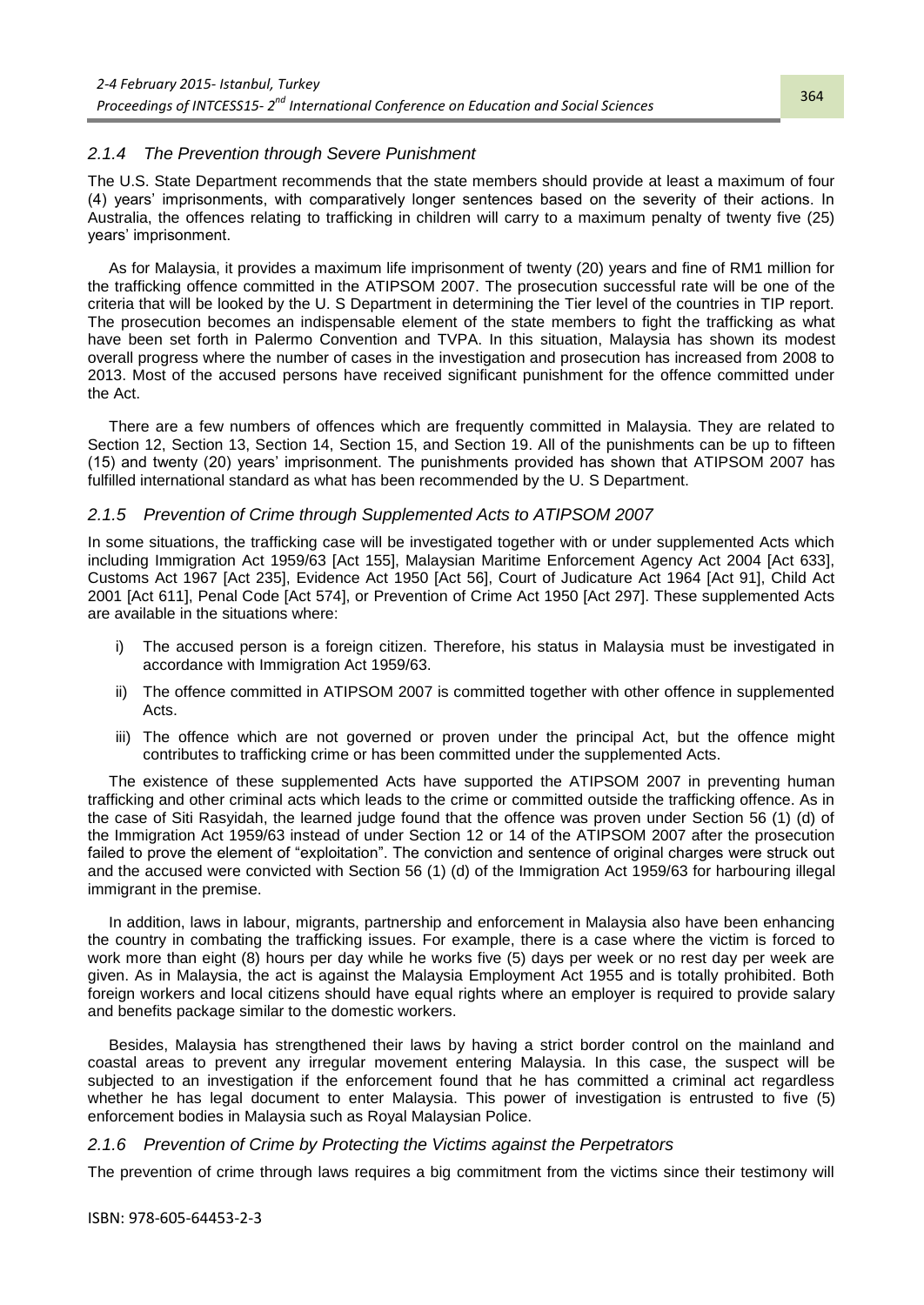#### *2.1.4 The Prevention through Severe Punishment*

The U.S. State Department recommends that the state members should provide at least a maximum of four (4) years" imprisonments, with comparatively longer sentences based on the severity of their actions. In Australia, the offences relating to trafficking in children will carry to a maximum penalty of twenty five (25) years" imprisonment.

As for Malaysia, it provides a maximum life imprisonment of twenty (20) years and fine of RM1 million for the trafficking offence committed in the ATIPSOM 2007. The prosecution successful rate will be one of the criteria that will be looked by the U. S Department in determining the Tier level of the countries in TIP report. The prosecution becomes an indispensable element of the state members to fight the trafficking as what have been set forth in Palermo Convention and TVPA. In this situation, Malaysia has shown its modest overall progress where the number of cases in the investigation and prosecution has increased from 2008 to 2013. Most of the accused persons have received significant punishment for the offence committed under the Act.

There are a few numbers of offences which are frequently committed in Malaysia. They are related to Section 12, Section 13, Section 14, Section 15, and Section 19. All of the punishments can be up to fifteen (15) and twenty (20) years" imprisonment. The punishments provided has shown that ATIPSOM 2007 has fulfilled international standard as what has been recommended by the U. S Department.

#### *2.1.5 Prevention of Crime through Supplemented Acts to ATIPSOM 2007*

In some situations, the trafficking case will be investigated together with or under supplemented Acts which including Immigration Act 1959/63 [Act 155], Malaysian Maritime Enforcement Agency Act 2004 [Act 633], Customs Act 1967 [Act 235], Evidence Act 1950 [Act 56], Court of Judicature Act 1964 [Act 91], Child Act 2001 [Act 611], Penal Code [Act 574], or Prevention of Crime Act 1950 [Act 297]. These supplemented Acts are available in the situations where:

- i) The accused person is a foreign citizen. Therefore, his status in Malaysia must be investigated in accordance with Immigration Act 1959/63.
- ii) The offence committed in ATIPSOM 2007 is committed together with other offence in supplemented Acts.
- iii) The offence which are not governed or proven under the principal Act, but the offence might contributes to trafficking crime or has been committed under the supplemented Acts.

The existence of these supplemented Acts have supported the ATIPSOM 2007 in preventing human trafficking and other criminal acts which leads to the crime or committed outside the trafficking offence. As in the case of Siti Rasyidah, the learned judge found that the offence was proven under Section 56 (1) (d) of the Immigration Act 1959/63 instead of under Section 12 or 14 of the ATIPSOM 2007 after the prosecution failed to prove the element of "exploitation". The conviction and sentence of original charges were struck out and the accused were convicted with Section 56 (1) (d) of the Immigration Act 1959/63 for harbouring illegal immigrant in the premise.

In addition, laws in labour, migrants, partnership and enforcement in Malaysia also have been enhancing the country in combating the trafficking issues. For example, there is a case where the victim is forced to work more than eight (8) hours per day while he works five (5) days per week or no rest day per week are given. As in Malaysia, the act is against the Malaysia Employment Act 1955 and is totally prohibited. Both foreign workers and local citizens should have equal rights where an employer is required to provide salary and benefits package similar to the domestic workers.

Besides, Malaysia has strengthened their laws by having a strict border control on the mainland and coastal areas to prevent any irregular movement entering Malaysia. In this case, the suspect will be subjected to an investigation if the enforcement found that he has committed a criminal act regardless whether he has legal document to enter Malaysia. This power of investigation is entrusted to five (5) enforcement bodies in Malaysia such as Royal Malaysian Police.

#### *2.1.6 Prevention of Crime by Protecting the Victims against the Perpetrators*

The prevention of crime through laws requires a big commitment from the victims since their testimony will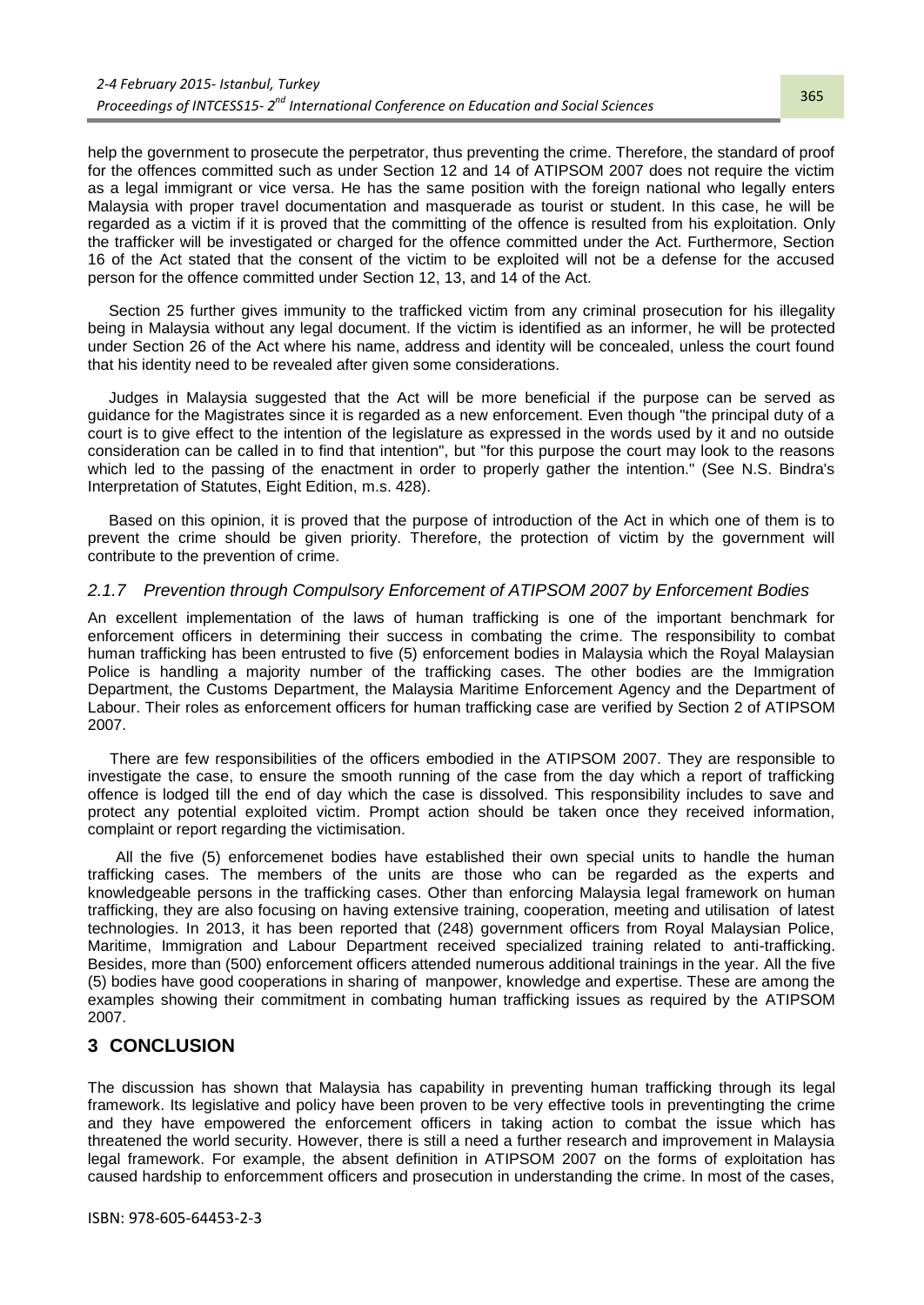help the government to prosecute the perpetrator, thus preventing the crime. Therefore, the standard of proof for the offences committed such as under Section 12 and 14 of ATIPSOM 2007 does not require the victim as a legal immigrant or vice versa. He has the same position with the foreign national who legally enters Malaysia with proper travel documentation and masquerade as tourist or student. In this case, he will be regarded as a victim if it is proved that the committing of the offence is resulted from his exploitation. Only the trafficker will be investigated or charged for the offence committed under the Act. Furthermore, Section 16 of the Act stated that the consent of the victim to be exploited will not be a defense for the accused person for the offence committed under Section 12, 13, and 14 of the Act.

Section 25 further gives immunity to the trafficked victim from any criminal prosecution for his illegality being in Malaysia without any legal document. If the victim is identified as an informer, he will be protected under Section 26 of the Act where his name, address and identity will be concealed, unless the court found that his identity need to be revealed after given some considerations.

Judges in Malaysia suggested that the Act will be more beneficial if the purpose can be served as guidance for the Magistrates since it is regarded as a new enforcement. Even though "the principal duty of a court is to give effect to the intention of the legislature as expressed in the words used by it and no outside consideration can be called in to find that intention", but "for this purpose the court may look to the reasons which led to the passing of the enactment in order to properly gather the intention." (See N.S. Bindra's Interpretation of Statutes, Eight Edition, m.s. 428).

Based on this opinion, it is proved that the purpose of introduction of the Act in which one of them is to prevent the crime should be given priority. Therefore, the protection of victim by the government will contribute to the prevention of crime.

#### *2.1.7 Prevention through Compulsory Enforcement of ATIPSOM 2007 by Enforcement Bodies*

An excellent implementation of the laws of human trafficking is one of the important benchmark for enforcement officers in determining their success in combating the crime. The responsibility to combat human trafficking has been entrusted to five (5) enforcement bodies in Malaysia which the Royal Malaysian Police is handling a majority number of the trafficking cases. The other bodies are the Immigration Department, the Customs Department, the Malaysia Maritime Enforcement Agency and the Department of Labour. Their roles as enforcement officers for human trafficking case are verified by Section 2 of ATIPSOM 2007.

There are few responsibilities of the officers embodied in the ATIPSOM 2007. They are responsible to investigate the case, to ensure the smooth running of the case from the day which a report of trafficking offence is lodged till the end of day which the case is dissolved. This responsibility includes to save and protect any potential exploited victim. Prompt action should be taken once they received information, complaint or report regarding the victimisation.

All the five (5) enforcemenet bodies have established their own special units to handle the human trafficking cases. The members of the units are those who can be regarded as the experts and knowledgeable persons in the trafficking cases. Other than enforcing Malaysia legal framework on human trafficking, they are also focusing on having extensive training, cooperation, meeting and utilisation of latest technologies. In 2013, it has been reported that (248) government officers from Royal Malaysian Police, Maritime, Immigration and Labour Department received specialized training related to anti-trafficking. Besides, more than (500) enforcement officers attended numerous additional trainings in the year. All the five (5) bodies have good cooperations in sharing of manpower, knowledge and expertise. These are among the examples showing their commitment in combating human trafficking issues as required by the ATIPSOM 2007.

#### **3 CONCLUSION**

The discussion has shown that Malaysia has capability in preventing human trafficking through its legal framework. Its legislative and policy have been proven to be very effective tools in preventingting the crime and they have empowered the enforcement officers in taking action to combat the issue which has threatened the world security. However, there is still a need a further research and improvement in Malaysia legal framework. For example, the absent definition in ATIPSOM 2007 on the forms of exploitation has caused hardship to enforcemment officers and prosecution in understanding the crime. In most of the cases,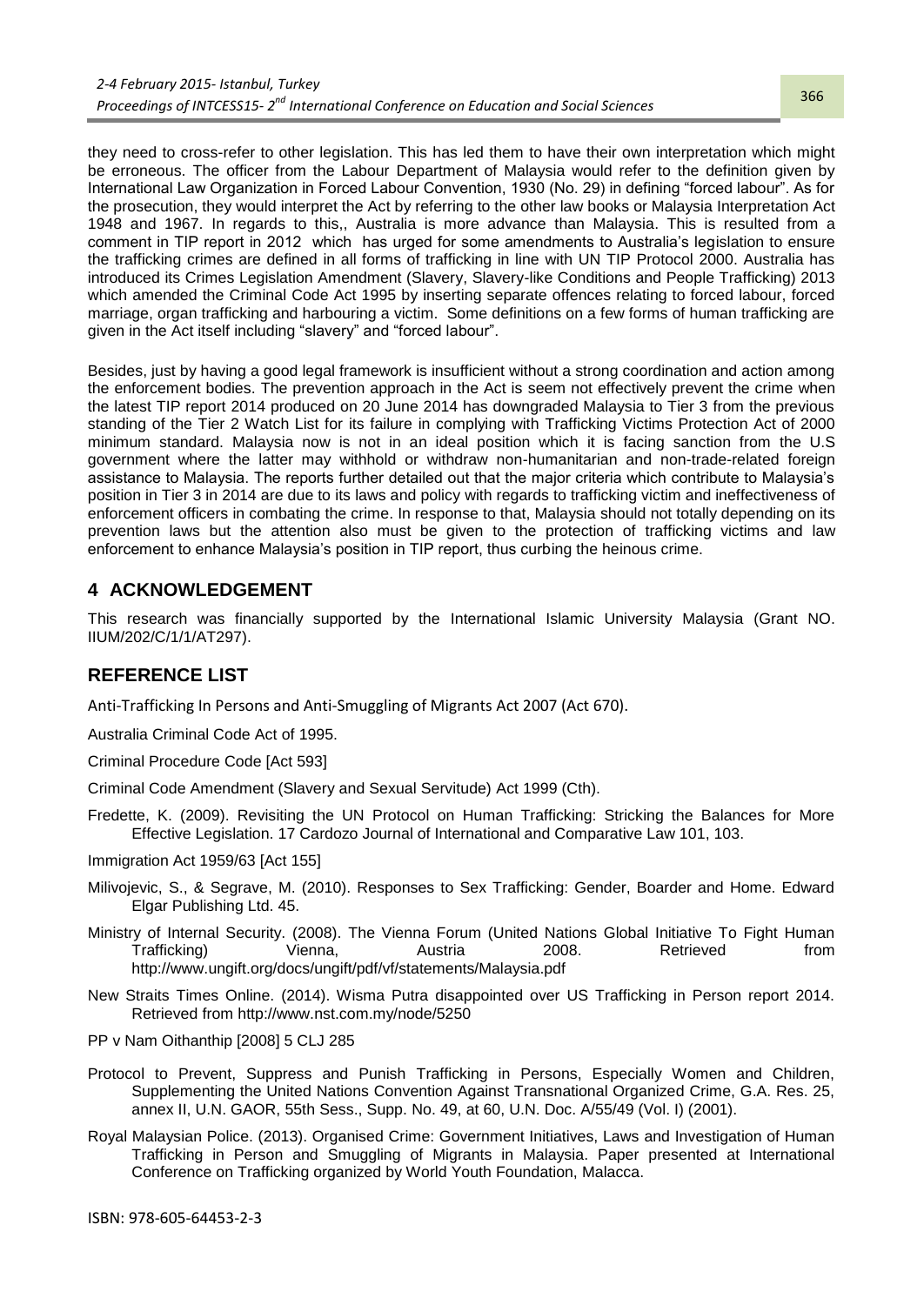they need to cross-refer to other legislation. This has led them to have their own interpretation which might be erroneous. The officer from the Labour Department of Malaysia would refer to the definition given by International Law Organization in Forced Labour Convention, 1930 (No. 29) in defining "forced labour". As for the prosecution, they would interpret the Act by referring to the other law books or Malaysia Interpretation Act 1948 and 1967. In regards to this,, Australia is more advance than Malaysia. This is resulted from a comment in TIP report in 2012 which has urged for some amendments to Australia's legislation to ensure the trafficking crimes are defined in all forms of trafficking in line with UN TIP Protocol 2000. Australia has introduced its Crimes Legislation Amendment (Slavery, Slavery-like Conditions and People Trafficking) 2013 which amended the Criminal Code Act 1995 by inserting separate offences relating to forced labour, forced marriage, organ trafficking and harbouring a victim. Some definitions on a few forms of human trafficking are given in the Act itself including "slavery" and "forced labour".

Besides, just by having a good legal framework is insufficient without a strong coordination and action among the enforcement bodies. The prevention approach in the Act is seem not effectively prevent the crime when the latest TIP report 2014 produced on 20 June 2014 has downgraded Malaysia to Tier 3 from the previous standing of the Tier 2 Watch List for its failure in complying with Trafficking Victims Protection Act of 2000 minimum standard. Malaysia now is not in an ideal position which it is facing sanction from the U.S government where the latter may withhold or withdraw non-humanitarian and non-trade-related foreign assistance to Malaysia. The reports further detailed out that the major criteria which contribute to Malaysia"s position in Tier 3 in 2014 are due to its laws and policy with regards to trafficking victim and ineffectiveness of enforcement officers in combating the crime. In response to that, Malaysia should not totally depending on its prevention laws but the attention also must be given to the protection of trafficking victims and law enforcement to enhance Malaysia"s position in TIP report, thus curbing the heinous crime.

## **4 ACKNOWLEDGEMENT**

This research was financially supported by the International Islamic University Malaysia (Grant NO. IIUM/202/C/1/1/AT297).

## **REFERENCE LIST**

Anti-Trafficking In Persons and Anti-Smuggling of Migrants Act 2007 (Act 670).

Australia Criminal Code Act of 1995.

Criminal Procedure Code [Act 593]

Criminal Code Amendment (Slavery and Sexual Servitude) Act 1999 (Cth).

Fredette, K. (2009). Revisiting the UN Protocol on Human Trafficking: Stricking the Balances for More Effective Legislation. 17 Cardozo Journal of International and Comparative Law 101, 103.

Immigration Act 1959/63 [Act 155]

- Milivojevic, S., & Segrave, M. (2010). Responses to Sex Trafficking: Gender, Boarder and Home. Edward Elgar Publishing Ltd. 45.
- Ministry of Internal Security. (2008). The Vienna Forum (United Nations Global Initiative To Fight Human Trafficking) Vienna, Austria 2008. Retrieved from http://www.ungift.org/docs/ungift/pdf/vf/statements/Malaysia.pdf
- New Straits Times Online. (2014). Wisma Putra disappointed over US Trafficking in Person report 2014. Retrieved from http://www.nst.com.my/node/5250
- PP v Nam Oithanthip [2008] 5 CLJ 285
- Protocol to Prevent, Suppress and Punish Trafficking in Persons, Especially Women and Children, Supplementing the United Nations Convention Against Transnational Organized Crime, G.A. Res. 25, annex II, U.N. GAOR, 55th Sess., Supp. No. 49, at 60, U.N. Doc. A/55/49 (Vol. I) (2001).
- Royal Malaysian Police. (2013). Organised Crime: Government Initiatives, Laws and Investigation of Human Trafficking in Person and Smuggling of Migrants in Malaysia. Paper presented at International Conference on Trafficking organized by World Youth Foundation, Malacca.